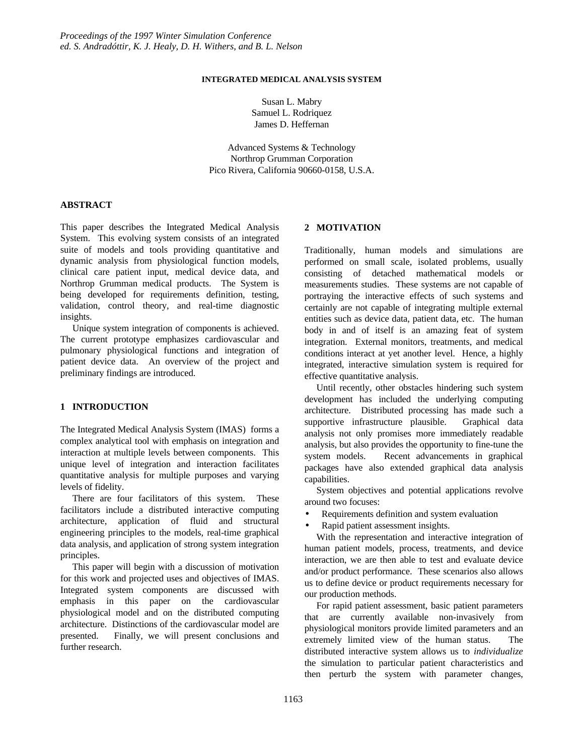# **INTEGRATED MEDICAL ANALYSIS SYSTEM**

Susan L. Mabry Samuel L. Rodriquez James D. Heffernan

Advanced Systems & Technology Northrop Grumman Corporation Pico Rivera, California 90660-0158, U.S.A.

# **ABSTRACT**

This paper describes the Integrated Medical Analysis System. This evolving system consists of an integrated suite of models and tools providing quantitative and dynamic analysis from physiological function models, clinical care patient input, medical device data, and Northrop Grumman medical products. The System is being developed for requirements definition, testing, validation, control theory, and real-time diagnostic insights.

 Unique system integration of components is achieved. The current prototype emphasizes cardiovascular and pulmonary physiological functions and integration of patient device data. An overview of the project and preliminary findings are introduced.

#### **1 INTRODUCTION**

The Integrated Medical Analysis System (IMAS) forms a complex analytical tool with emphasis on integration and interaction at multiple levels between components. This unique level of integration and interaction facilitates quantitative analysis for multiple purposes and varying levels of fidelity.

 There are four facilitators of this system. These facilitators include a distributed interactive computing architecture, application of fluid and structural engineering principles to the models, real-time graphical data analysis, and application of strong system integration principles.

 This paper will begin with a discussion of motivation for this work and projected uses and objectives of IMAS. Integrated system components are discussed with emphasis in this paper on the cardiovascular physiological model and on the distributed computing architecture. Distinctions of the cardiovascular model are presented. Finally, we will present conclusions and further research.

# **2 MOTIVATION**

Traditionally, human models and simulations are performed on small scale, isolated problems, usually consisting of detached mathematical models or measurements studies. These systems are not capable of portraying the interactive effects of such systems and certainly are not capable of integrating multiple external entities such as device data, patient data, etc. The human body in and of itself is an amazing feat of system integration. External monitors, treatments, and medical conditions interact at yet another level. Hence, a highly integrated, interactive simulation system is required for effective quantitative analysis.

 Until recently, other obstacles hindering such system development has included the underlying computing architecture. Distributed processing has made such a supportive infrastructure plausible. Graphical data analysis not only promises more immediately readable analysis, but also provides the opportunity to fine-tune the system models. Recent advancements in graphical packages have also extended graphical data analysis capabilities.

 System objectives and potential applications revolve around two focuses:

• Requirements definition and system evaluation

• Rapid patient assessment insights.

 With the representation and interactive integration of human patient models, process, treatments, and device interaction, we are then able to test and evaluate device and/or product performance. These scenarios also allows us to define device or product requirements necessary for our production methods.

 For rapid patient assessment, basic patient parameters that are currently available non-invasively from physiological monitors provide limited parameters and an extremely limited view of the human status. The distributed interactive system allows us to *individualize* the simulation to particular patient characteristics and then perturb the system with parameter changes,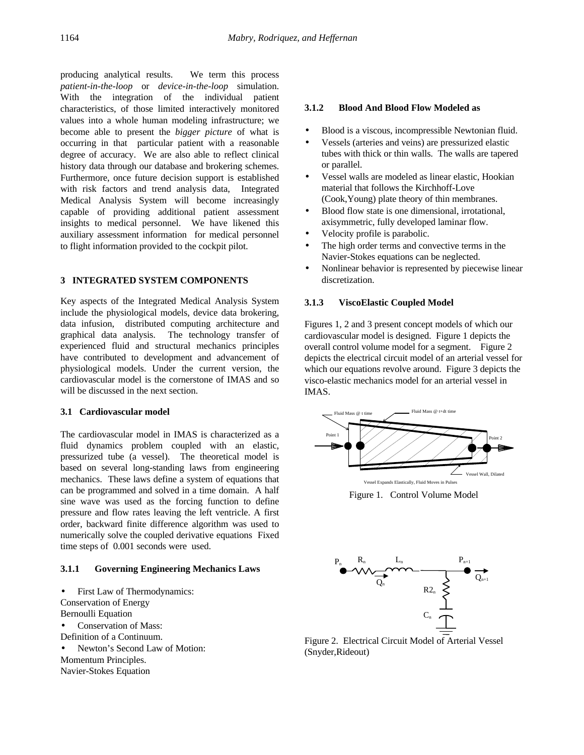producing analytical results. We term this process *patient-in-the-loop* or *device-in-the-loop* simulation. With the integration of the individual patient characteristics, of those limited interactively monitored values into a whole human modeling infrastructure; we become able to present the *bigger picture* of what is occurring in that particular patient with a reasonable degree of accuracy. We are also able to reflect clinical history data through our database and brokering schemes. Furthermore, once future decision support is established with risk factors and trend analysis data, Integrated Medical Analysis System will become increasingly capable of providing additional patient assessment insights to medical personnel. We have likened this auxiliary assessment information for medical personnel to flight information provided to the cockpit pilot.

# **3 INTEGRATED SYSTEM COMPONENTS**

Key aspects of the Integrated Medical Analysis System include the physiological models, device data brokering, data infusion, distributed computing architecture and graphical data analysis. The technology transfer of experienced fluid and structural mechanics principles have contributed to development and advancement of physiological models. Under the current version, the cardiovascular model is the cornerstone of IMAS and so will be discussed in the next section.

## **3.1 Cardiovascular model**

The cardiovascular model in IMAS is characterized as a fluid dynamics problem coupled with an elastic, pressurized tube (a vessel). The theoretical model is based on several long-standing laws from engineering mechanics. These laws define a system of equations that can be programmed and solved in a time domain. A half sine wave was used as the forcing function to define pressure and flow rates leaving the left ventricle. A first order, backward finite difference algorithm was used to numerically solve the coupled derivative equations Fixed time steps of 0.001 seconds were used.

## **3.1.1 Governing Engineering Mechanics Laws**

• First Law of Thermodynamics: Conservation of Energy Bernoulli Equation • Conservation of Mass: Definition of a Continuum. • Newton's Second Law of Motion: Momentum Principles.

Navier-Stokes Equation

### **3.1.2 Blood And Blood Flow Modeled as**

- Blood is a viscous, incompressible Newtonian fluid.
- Vessels (arteries and veins) are pressurized elastic tubes with thick or thin walls. The walls are tapered or parallel.
- Vessel walls are modeled as linear elastic, Hookian material that follows the Kirchhoff-Love (Cook,Young) plate theory of thin membranes.
- Blood flow state is one dimensional, irrotational, axisymmetric, fully developed laminar flow.
- Velocity profile is parabolic.
- The high order terms and convective terms in the Navier-Stokes equations can be neglected.
- Nonlinear behavior is represented by piecewise linear discretization.

## **3.1.3 ViscoElastic Coupled Model**

Figures 1, 2 and 3 present concept models of which our cardiovascular model is designed. Figure 1 depicts the overall control volume model for a segment. Figure 2 depicts the electrical circuit model of an arterial vessel for which our equations revolve around. Figure 3 depicts the visco-elastic mechanics model for an arterial vessel in IMAS.



Figure 1. Control Volume Model



Figure 2. Electrical Circuit Model of Arterial Vessel (Snyder,Rideout)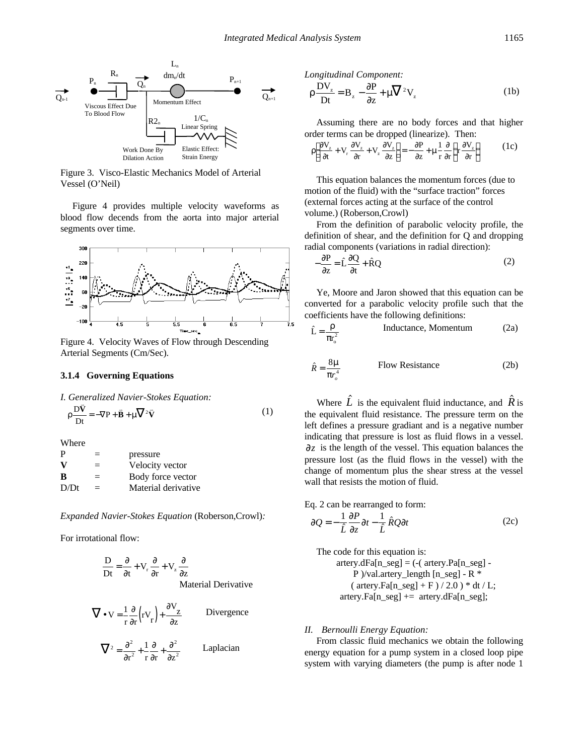

Figure 3. Visco-Elastic Mechanics Model of Arterial Vessel (O'Neil)

 Figure 4 provides multiple velocity waveforms as blood flow decends from the aorta into major arterial segments over time.



Figure 4. Velocity Waves of Flow through Descending Arterial Segments (Cm/Sec).

#### **3.1.4 Governing Equations**

*I. Generalized Navier-Stokes Equation:* v

$$
\rho \frac{\mathbf{D}\bar{\mathbf{V}}}{\mathbf{D}t} = -\nabla \mathbf{P} + \mathbf{B} + \mu \nabla^2 \bar{\mathbf{V}} \tag{1}
$$

Where

| P    | $\equiv$ | pressure            |
|------|----------|---------------------|
| v    | $=$      | Velocity vector     |
| B    | $=$      | Body force vector   |
| D/Dt | $=$      | Material derivative |

*Expanded Navier-Stokes Equation* (Roberson,Crowl)*:*

For irrotational flow:

$$
\frac{D}{Dt} = \frac{\partial}{\partial t} + V_r \frac{\partial}{\partial r} + V_z \frac{\partial}{\partial z}
$$
  
Material Derivative

$$
\nabla \cdot \mathbf{V} = \frac{1}{r} \frac{\partial}{\partial r} \left( r \mathbf{V}_r \right) + \frac{\partial \mathbf{V}_z}{\partial z}
$$
 Divergence  

$$
\nabla^2 = \frac{\partial^2}{\partial r^2} + \frac{1}{r} \frac{\partial}{\partial r} + \frac{\partial^2}{\partial z^2}
$$
 Laplacian

*Longitudinal Component:*

$$
\rho \frac{DV_z}{Dt} = B_z - \frac{\partial P}{\partial z} + \mu \nabla^2 V_z
$$
 (1b)

 Assuming there are no body forces and that higher order terms can be dropped (linearize). Then:

$$
\rho \left[ \frac{\partial V_z}{\partial t} + V_r \frac{\partial V_z}{\partial r} + V_z \frac{\partial V_z}{\partial z} \right] = -\frac{\partial P}{\partial z} + \mu \frac{1}{r} \frac{\partial}{\partial r} \left\{ r \frac{\partial V_z}{\partial r} \right\} \tag{1c}
$$

 This equation balances the momentum forces (due to motion of the fluid) with the "surface traction" forces (external forces acting at the surface of the control volume.) (Roberson,Crowl)

 From the definition of parabolic velocity profile, the definition of shear, and the definition for Q and dropping radial components (variations in radial direction):

$$
-\frac{\partial P}{\partial z} = \hat{L}\frac{\partial Q}{\partial t} + \hat{R}Q\tag{2}
$$

 Ye, Moore and Jaron showed that this equation can be converted for a parabolic velocity profile such that the coefficients have the following definitions:

$$
\hat{L} = \frac{\rho}{\pi r_o^2}
$$
 Inductance, Momentum (2a)

$$
\hat{R} = \frac{8m}{pr_o^4}
$$
 Flow Resistance (2b)

Where  $\overline{L}$  is the equivalent fluid inductance, and  $\overline{R}$  is the equivalent fluid resistance. The pressure term on the left defines a pressure gradiant and is a negative number indicating that pressure is lost as fluid flows in a vessel.  $\mathcal{J}_z$  is the length of the vessel. This equation balances the pressure lost (as the fluid flows in the vessel) with the change of momentum plus the shear stress at the vessel wall that resists the motion of fluid.

Eq. 2 can be rearranged to form:

$$
\P{Q} = -\frac{1}{\hat{L}} \frac{\P{P}}{\P{z}} \P{t} - \frac{1}{\hat{L}} \hat{R} Q \P{t}
$$
 (2c)

 The code for this equation is:  $\arct{ery.dFa[n\_seg]} = (-\alpha \arct{try}.Pa[n\_seg] -$ P )/val.artery\_length  $[n\_seg]$  - R  $*$ (  $\arct{array.Fa[n\_seg] + F}$  / 2.0 ) \* dt / L; artery.Fa[n\_seg] += artery.dFa[n\_seg];

### *II. Bernoulli Energy Equation:*

 From classic fluid mechanics we obtain the following energy equation for a pump system in a closed loop pipe system with varying diameters (the pump is after node 1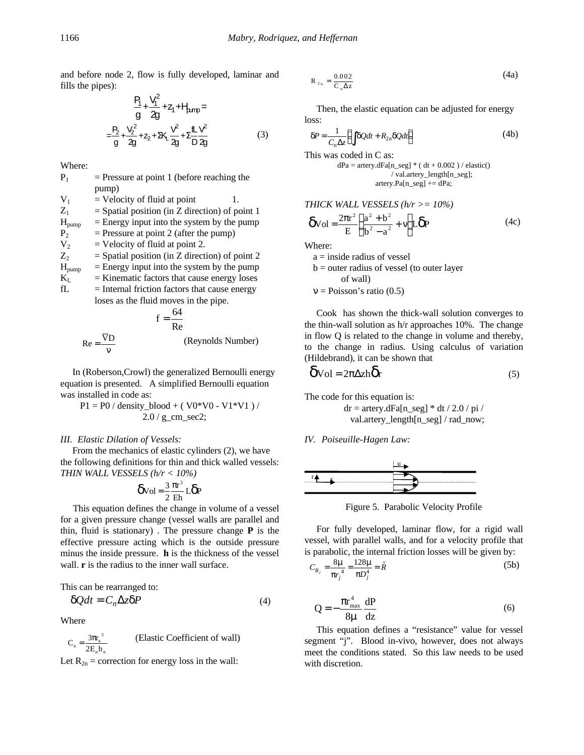and before node 2, flow is fully developed, laminar and fills the pipes):

$$
\frac{P_1}{g} + \frac{V_1^2}{2g} + Z_1 + H_{\text{amp}} =
$$
\n
$$
-\frac{P_2}{g} + \frac{V_2^2}{2g} + Z_2 + 2K_1 \frac{V^2}{2g} + \sum_{i=1}^{n} \frac{1}{2} \frac{V^2}{2g}
$$
\n(3)

Where:

| $P_1$             | $=$ Pressure at point 1 (before reaching the     |  |  |
|-------------------|--------------------------------------------------|--|--|
|                   | pump)                                            |  |  |
| $V_1$             | $=$ Velocity of fluid at point<br>1.             |  |  |
| $Z_{1}$           | $=$ Spatial position (in Z direction) of point 1 |  |  |
| $H_{\text{pump}}$ | $=$ Energy input into the system by the pump     |  |  |
| $P_{2}$           | $=$ Pressure at point 2 (after the pump)         |  |  |
| $V_{2}$           | $=$ Velocity of fluid at point 2.                |  |  |
| $Z_{2}$           | $=$ Spatial position (in Z direction) of point 2 |  |  |
| $H_{\text{pump}}$ | $=$ Energy input into the system by the pump     |  |  |
| $K_{L}$           | $=$ Kinematic factors that cause energy loses    |  |  |
| fL                | $=$ Internal friction factors that cause energy  |  |  |
|                   | loses as the fluid moves in the pipe.            |  |  |

$$
f = \frac{64}{Re}
$$
  
Re =  $\frac{\overline{V}D}{v}$  (Reynolds Number)

 In (Roberson,Crowl) the generalized Bernoulli energy equation is presented. A simplified Bernoulli equation was installed in code as:

$$
P1 = P0 / density\_blood + (V0*V0 - V1*V1) / 2.0 / g\_cm\_sec2;
$$

#### *III. Elastic Dilation of Vessels:*

 From the mechanics of elastic cylinders (2), we have the following definitions for thin and thick walled vessels: *THIN WALL VESSELS (h/r < 10%)*

$$
\delta \mathrm{Vol} = \frac{3}{2} \frac{\pi r^3}{E h} L \delta P
$$

 This equation defines the change in volume of a vessel for a given pressure change (vessel walls are parallel and thin, fluid is stationary) . The pressure change **P** is the effective pressure acting which is the outside pressure minus the inside pressure. **h** is the thickness of the vessel wall. **r** is the radius to the inner wall surface.

This can be rearranged to:

$$
dQdt = C_n \Delta z dP \tag{4}
$$

Where

$$
C_n = \frac{3\pi r_n^3}{2E_n h_n}
$$
 (Elastic Coefficient of wall)

Let  $R_{2n}$  = correction for energy loss in the wall:

$$
R_{2n} = \frac{0.002}{C_n \Delta z} \tag{4a}
$$

 Then, the elastic equation can be adjusted for energy loss:

$$
dP = \frac{1}{C_n \Delta z} \Big( \int dQ dt + R_{2n} dQ dt \Big)
$$
 (4b)

This was coded in C as:

$$
dPa = \text{ artery}.dFa[n\_seg] * (dt + 0.002) / \text{elastic}()
$$
  
\n/
$$
\text{val. artery\_length[n\_seg];}
$$
  
\n
$$
\text{artery}.Pa[n\_seg] += dPa;
$$

$$
THICK \text{WALL VESSELS} (h/r >= 10\%)
$$
\n
$$
\delta \text{Vol} = \frac{2\pi r^2}{E} \left( \frac{a^2 + b^2}{b^2 - a^2} + v \right) \text{L} \delta \text{P} \tag{4c}
$$

Where:

a = inside radius of vessel b = outer radius of vessel (to outer layer of wall)  $v = Poisson's ratio (0.5)$ 

 Cook has shown the thick-wall solution converges to the thin-wall solution as h/r approaches 10%. The change in flow Q is related to the change in volume and thereby, to the change in radius. Using calculus of variation (Hildebrand), it can be shown that

$$
\delta \text{Vol} = 2\pi \Delta z h \delta r \tag{5}
$$

The code for this equation is:

 $dr =$  artery.dFa[n\_seg]  $*$  dt / 2.0 / pi / val.artery\_length[n\_seg] / rad\_now;

#### *IV. Poiseuille-Hagen Law:*



Figure 5. Parabolic Velocity Profile

 For fully developed, laminar flow, for a rigid wall vessel, with parallel walls, and for a velocity profile that is parabolic, the internal friction losses will be given by:

$$
C_{R_j} = \frac{8m}{pr_j^4} = \frac{128m}{pD_j^4} = \hat{R}
$$
 (5b)

$$
Q = -\frac{\pi r_{\text{max}}^4}{8\mu} \frac{dP}{dz}
$$
 (6)

 This equation defines a "resistance" value for vessel segment "j". Blood in-vivo, however, does not always meet the conditions stated. So this law needs to be used with discretion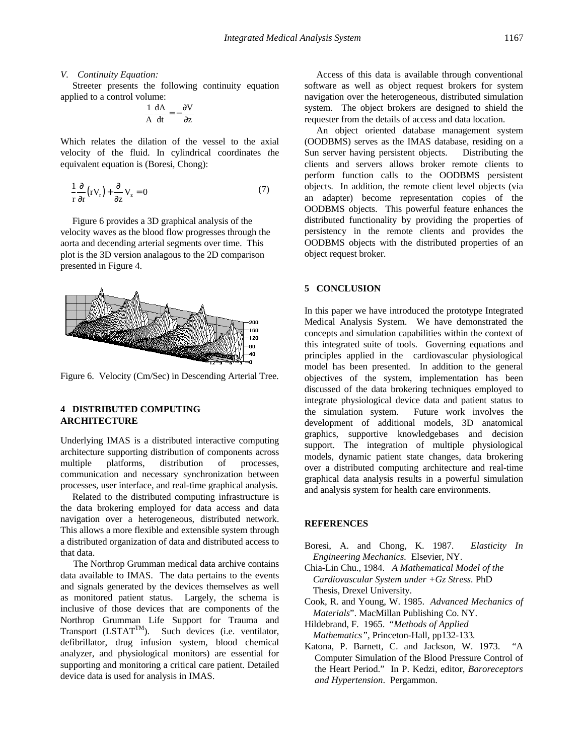#### *V. Continuity Equation:*

 Streeter presents the following continuity equation applied to a control volume:

$$
\frac{1}{A}\frac{dA}{dt} = -\frac{\partial V}{\partial z}
$$

Which relates the dilation of the vessel to the axial velocity of the fluid. In cylindrical coordinates *t*he equivalent equation is (Boresi, Chong):

$$
\frac{1}{r}\frac{\partial}{\partial r}(rV_r) + \frac{\partial}{\partial z}V_z = 0
$$
\n(7)

 Figure 6 provides a 3D graphical analysis of the velocity waves as the blood flow progresses through the aorta and decending arterial segments over time. This plot is the 3D version analagous to the 2D comparison presented in Figure 4.



Figure 6. Velocity (Cm/Sec) in Descending Arterial Tree.

# **4 DISTRIBUTED COMPUTING ARCHITECTURE**

Underlying IMAS is a distributed interactive computing architecture supporting distribution of components across multiple platforms, distribution of processes, communication and necessary synchronization between processes, user interface, and real-time graphical analysis.

 Related to the distributed computing infrastructure is the data brokering employed for data access and data navigation over a heterogeneous, distributed network. This allows a more flexible and extensible system through a distributed organization of data and distributed access to that data.

 The Northrop Grumman medical data archive contains data available to IMAS. The data pertains to the events and signals generated by the devices themselves as well as monitored patient status. Largely, the schema is inclusive of those devices that are components of the Northrop Grumman Life Support for Trauma and Transport  $(LSTAT^{TM})$ . Such devices (i.e. ventilator, defibrillator, drug infusion system, blood chemical analyzer, and physiological monitors) are essential for supporting and monitoring a critical care patient. Detailed device data is used for analysis in IMAS.

 Access of this data is available through conventional software as well as object request brokers for system navigation over the heterogeneous, distributed simulation system. The object brokers are designed to shield the requester from the details of access and data location.

 An object oriented database management system (OODBMS) serves as the IMAS database, residing on a Sun server having persistent objects. Distributing the clients and servers allows broker remote clients to perform function calls to the OODBMS persistent objects. In addition, the remote client level objects (via an adapter) become representation copies of the OODBMS objects. This powerful feature enhances the distributed functionality by providing the properties of persistency in the remote clients and provides the OODBMS objects with the distributed properties of an object request broker.

### **5 CONCLUSION**

In this paper we have introduced the prototype Integrated Medical Analysis System. We have demonstrated the concepts and simulation capabilities within the context of this integrated suite of tools. Governing equations and principles applied in the cardiovascular physiological model has been presented. In addition to the general objectives of the system, implementation has been discussed of the data brokering techniques employed to integrate physiological device data and patient status to the simulation system. Future work involves the development of additional models, 3D anatomical graphics, supportive knowledgebases and decision support. The integration of multiple physiological models, dynamic patient state changes, data brokering over a distributed computing architecture and real-time graphical data analysis results in a powerful simulation and analysis system for health care environments.

## **REFERENCES**

- Boresi, A. and Chong, K. 1987. *Elasticity In Engineering Mechanics.* Elsevier, NY.
- Chia-Lin Chu., 1984. *A Mathematical Model of the Cardiovascular System under +Gz Stress.* PhD Thesis, Drexel University.
- Cook, R. and Young, W. 1985. *Advanced Mechanics of Materials*". MacMillan Publishing Co. NY.
- Hildebrand, F. 1965. "*Methods of Applied Mathematics",* Princeton-Hall*,* pp132-133*.*
- Katona, P. Barnett, C. and Jackson, W. 1973. "A Computer Simulation of the Blood Pressure Control of the Heart Period." In P. Kedzi, editor, *Baroreceptors and Hypertension*. Pergammon.